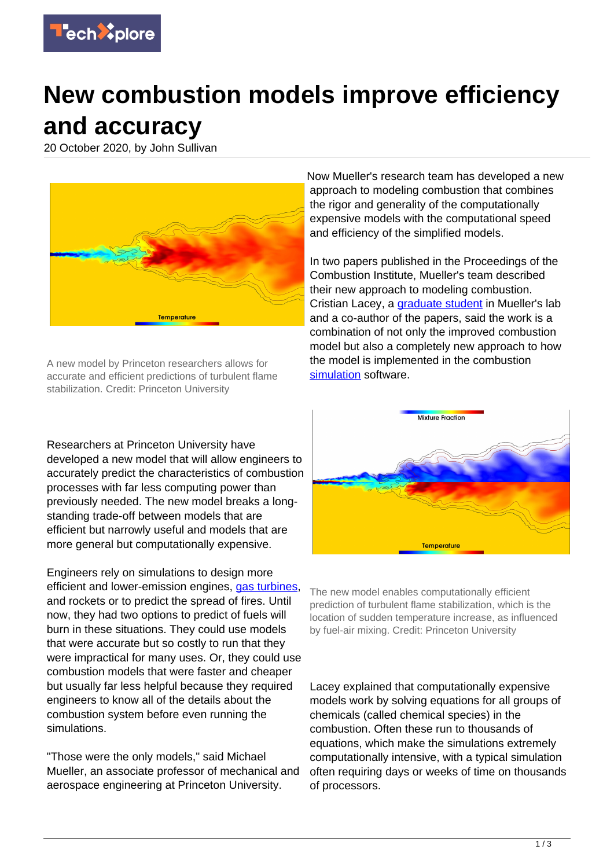

## **New combustion models improve efficiency and accuracy**

20 October 2020, by John Sullivan



A new model by Princeton researchers allows for accurate and efficient predictions of turbulent flame stabilization. Credit: Princeton University

Researchers at Princeton University have developed a new model that will allow engineers to accurately predict the characteristics of combustion processes with far less computing power than previously needed. The new model breaks a longstanding trade-off between models that are efficient but narrowly useful and models that are more general but computationally expensive.

Engineers rely on simulations to design more efficient and lower-emission engines, [gas turbines,](https://techxplore.com/tags/gas+turbines/) and rockets or to predict the spread of fires. Until now, they had two options to predict of fuels will burn in these situations. They could use models that were accurate but so costly to run that they were impractical for many uses. Or, they could use combustion models that were faster and cheaper but usually far less helpful because they required engineers to know all of the details about the combustion system before even running the simulations.

"Those were the only models," said Michael Mueller, an associate professor of mechanical and aerospace engineering at Princeton University.

Now Mueller's research team has developed a new approach to modeling combustion that combines the rigor and generality of the computationally expensive models with the computational speed and efficiency of the simplified models.

In two papers published in the Proceedings of the Combustion Institute, Mueller's team described their new approach to modeling combustion. Cristian Lacey, a *graduate student* in Mueller's lab and a co-author of the papers, said the work is a combination of not only the improved combustion model but also a completely new approach to how the model is implemented in the combustion [simulation](https://techxplore.com/tags/simulation/) software.



The new model enables computationally efficient prediction of turbulent flame stabilization, which is the location of sudden temperature increase, as influenced by fuel-air mixing. Credit: Princeton University

Lacey explained that computationally expensive models work by solving equations for all groups of chemicals (called chemical species) in the combustion. Often these run to thousands of equations, which make the simulations extremely computationally intensive, with a typical simulation often requiring days or weeks of time on thousands of processors.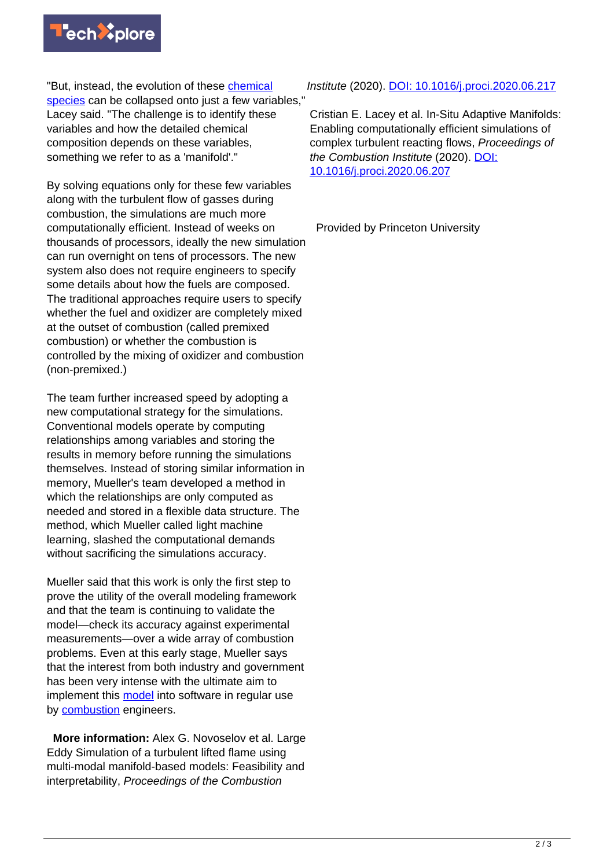

"But, instead, the evolution of these [chemical](https://techxplore.com/tags/chemical+species/) [species](https://techxplore.com/tags/chemical+species/) can be collapsed onto just a few variables," Lacey said. "The challenge is to identify these variables and how the detailed chemical composition depends on these variables, something we refer to as a 'manifold'."

By solving equations only for these few variables along with the turbulent flow of gasses during combustion, the simulations are much more computationally efficient. Instead of weeks on thousands of processors, ideally the new simulation can run overnight on tens of processors. The new system also does not require engineers to specify some details about how the fuels are composed. The traditional approaches require users to specify whether the fuel and oxidizer are completely mixed at the outset of combustion (called premixed combustion) or whether the combustion is controlled by the mixing of oxidizer and combustion (non-premixed.)

The team further increased speed by adopting a new computational strategy for the simulations. Conventional models operate by computing relationships among variables and storing the results in memory before running the simulations themselves. Instead of storing similar information in memory, Mueller's team developed a method in which the relationships are only computed as needed and stored in a flexible data structure. The method, which Mueller called light machine learning, slashed the computational demands without sacrificing the simulations accuracy.

Mueller said that this work is only the first step to prove the utility of the overall modeling framework and that the team is continuing to validate the model—check its accuracy against experimental measurements—over a wide array of combustion problems. Even at this early stage, Mueller says that the interest from both industry and government has been very intense with the ultimate aim to implement this [model](https://techxplore.com/tags/model/) into software in regular use by **combustion** engineers.

 **More information:** Alex G. Novoselov et al. Large Eddy Simulation of a turbulent lifted flame using multi-modal manifold-based models: Feasibility and interpretability, Proceedings of the Combustion

Institute (2020). [DOI: 10.1016/j.proci.2020.06.217](http://dx.doi.org/10.1016/j.proci.2020.06.217)

Cristian E. Lacey et al. In-Situ Adaptive Manifolds: Enabling computationally efficient simulations of complex turbulent reacting flows, Proceedings of the Combustion Institute (2020). [DOI:](http://dx.doi.org/10.1016/j.proci.2020.06.207) [10.1016/j.proci.2020.06.207](http://dx.doi.org/10.1016/j.proci.2020.06.207)

Provided by Princeton University